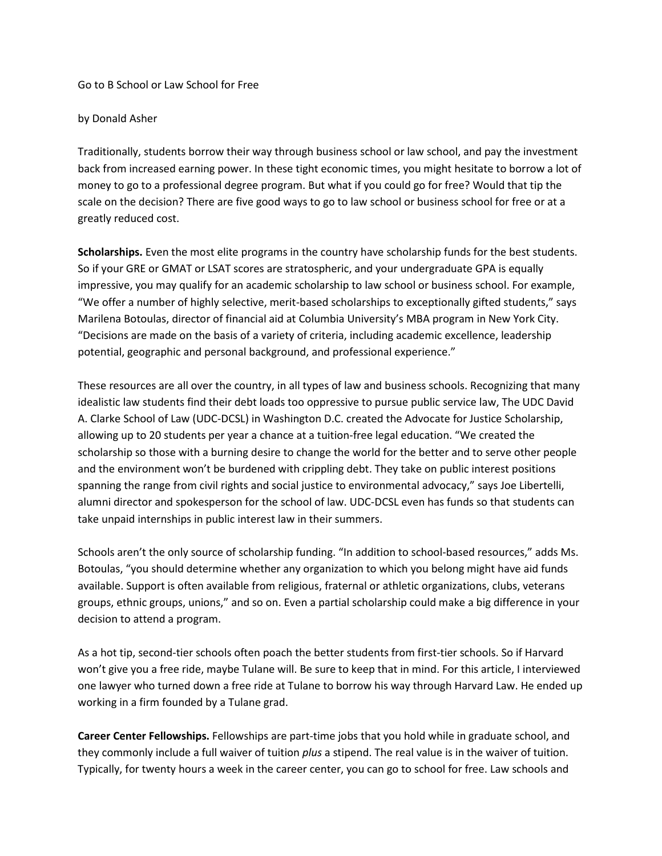Go to B School or Law School for Free

## by Donald Asher

Traditionally, students borrow their way through business school or law school, and pay the investment back from increased earning power. In these tight economic times, you might hesitate to borrow a lot of money to go to a professional degree program. But what if you could go for free? Would that tip the scale on the decision? There are five good ways to go to law school or business school for free or at a greatly reduced cost.

**Scholarships.** Even the most elite programs in the country have scholarship funds for the best students. So if your GRE or GMAT or LSAT scores are stratospheric, and your undergraduate GPA is equally impressive, you may qualify for an academic scholarship to law school or business school. For example, "We offer a number of highly selective, merit-based scholarships to exceptionally gifted students," says Marilena Botoulas, director of financial aid at Columbia University's MBA program in New York City. "Decisions are made on the basis of a variety of criteria, including academic excellence, leadership potential, geographic and personal background, and professional experience."

These resources are all over the country, in all types of law and business schools. Recognizing that many idealistic law students find their debt loads too oppressive to pursue public service law, The UDC David A. Clarke School of Law (UDC-DCSL) in Washington D.C. created the Advocate for Justice Scholarship, allowing up to 20 students per year a chance at a tuition-free legal education. "We created the scholarship so those with a burning desire to change the world for the better and to serve other people and the environment won't be burdened with crippling debt. They take on public interest positions spanning the range from civil rights and social justice to environmental advocacy," says Joe Libertelli, alumni director and spokesperson for the school of law. UDC-DCSL even has funds so that students can take unpaid internships in public interest law in their summers.

Schools aren't the only source of scholarship funding. "In addition to school-based resources," adds Ms. Botoulas, "you should determine whether any organization to which you belong might have aid funds available. Support is often available from religious, fraternal or athletic organizations, clubs, veterans groups, ethnic groups, unions," and so on. Even a partial scholarship could make a big difference in your decision to attend a program.

As a hot tip, second-tier schools often poach the better students from first-tier schools. So if Harvard won't give you a free ride, maybe Tulane will. Be sure to keep that in mind. For this article, I interviewed one lawyer who turned down a free ride at Tulane to borrow his way through Harvard Law. He ended up working in a firm founded by a Tulane grad.

**Career Center Fellowships.** Fellowships are part-time jobs that you hold while in graduate school, and they commonly include a full waiver of tuition *plus* a stipend. The real value is in the waiver of tuition. Typically, for twenty hours a week in the career center, you can go to school for free. Law schools and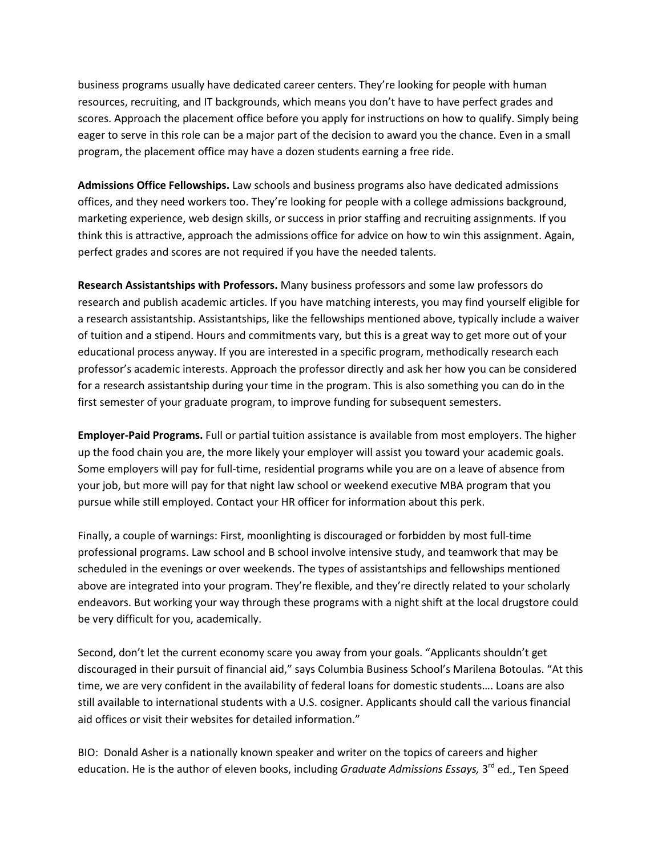business programs usually have dedicated career centers. They're looking for people with human resources, recruiting, and IT backgrounds, which means you don't have to have perfect grades and scores. Approach the placement office before you apply for instructions on how to qualify. Simply being eager to serve in this role can be a major part of the decision to award you the chance. Even in a small program, the placement office may have a dozen students earning a free ride.

**Admissions Office Fellowships.** Law schools and business programs also have dedicated admissions offices, and they need workers too. They're looking for people with a college admissions background, marketing experience, web design skills, or success in prior staffing and recruiting assignments. If you think this is attractive, approach the admissions office for advice on how to win this assignment. Again, perfect grades and scores are not required if you have the needed talents.

**Research Assistantships with Professors.** Many business professors and some law professors do research and publish academic articles. If you have matching interests, you may find yourself eligible for a research assistantship. Assistantships, like the fellowships mentioned above, typically include a waiver of tuition and a stipend. Hours and commitments vary, but this is a great way to get more out of your educational process anyway. If you are interested in a specific program, methodically research each professor's academic interests. Approach the professor directly and ask her how you can be considered for a research assistantship during your time in the program. This is also something you can do in the first semester of your graduate program, to improve funding for subsequent semesters.

**Employer-Paid Programs.** Full or partial tuition assistance is available from most employers. The higher up the food chain you are, the more likely your employer will assist you toward your academic goals. Some employers will pay for full-time, residential programs while you are on a leave of absence from your job, but more will pay for that night law school or weekend executive MBA program that you pursue while still employed. Contact your HR officer for information about this perk.

Finally, a couple of warnings: First, moonlighting is discouraged or forbidden by most full-time professional programs. Law school and B school involve intensive study, and teamwork that may be scheduled in the evenings or over weekends. The types of assistantships and fellowships mentioned above are integrated into your program. They're flexible, and they're directly related to your scholarly endeavors. But working your way through these programs with a night shift at the local drugstore could be very difficult for you, academically.

Second, don't let the current economy scare you away from your goals. "Applicants shouldn't get discouraged in their pursuit of financial aid," says Columbia Business School's Marilena Botoulas. "At this time, we are very confident in the availability of federal loans for domestic students…. Loans are also still available to international students with a U.S. cosigner. Applicants should call the various financial aid offices or visit their websites for detailed information."

BIO: Donald Asher is a nationally known speaker and writer on the topics of careers and higher education. He is the author of eleven books, including *Graduate Admissions Essays*, 3<sup>rd</sup> ed., Ten Speed